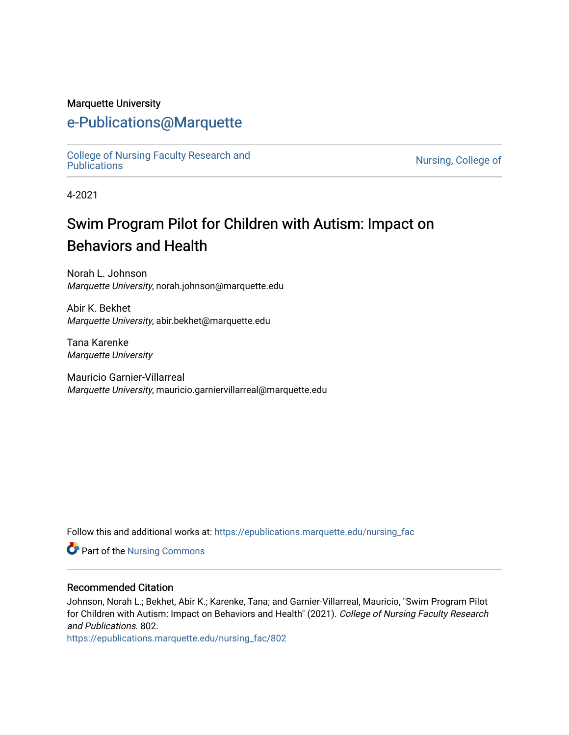#### Marquette University

## [e-Publications@Marquette](https://epublications.marquette.edu/)

[College of Nursing Faculty Research and](https://epublications.marquette.edu/nursing_fac)<br>Publications

Nursing, College of

4-2021

# Swim Program Pilot for Children with Autism: Impact on Behaviors and Health

Norah L. Johnson Marquette University, norah.johnson@marquette.edu

Abir K. Bekhet Marquette University, abir.bekhet@marquette.edu

Tana Karenke Marquette University

Mauricio Garnier-Villarreal Marquette University, mauricio.garniervillarreal@marquette.edu

Follow this and additional works at: [https://epublications.marquette.edu/nursing\\_fac](https://epublications.marquette.edu/nursing_fac?utm_source=epublications.marquette.edu%2Fnursing_fac%2F802&utm_medium=PDF&utm_campaign=PDFCoverPages)

Part of the [Nursing Commons](http://network.bepress.com/hgg/discipline/718?utm_source=epublications.marquette.edu%2Fnursing_fac%2F802&utm_medium=PDF&utm_campaign=PDFCoverPages) 

#### Recommended Citation

Johnson, Norah L.; Bekhet, Abir K.; Karenke, Tana; and Garnier-Villarreal, Mauricio, "Swim Program Pilot for Children with Autism: Impact on Behaviors and Health" (2021). College of Nursing Faculty Research and Publications. 802.

[https://epublications.marquette.edu/nursing\\_fac/802](https://epublications.marquette.edu/nursing_fac/802?utm_source=epublications.marquette.edu%2Fnursing_fac%2F802&utm_medium=PDF&utm_campaign=PDFCoverPages)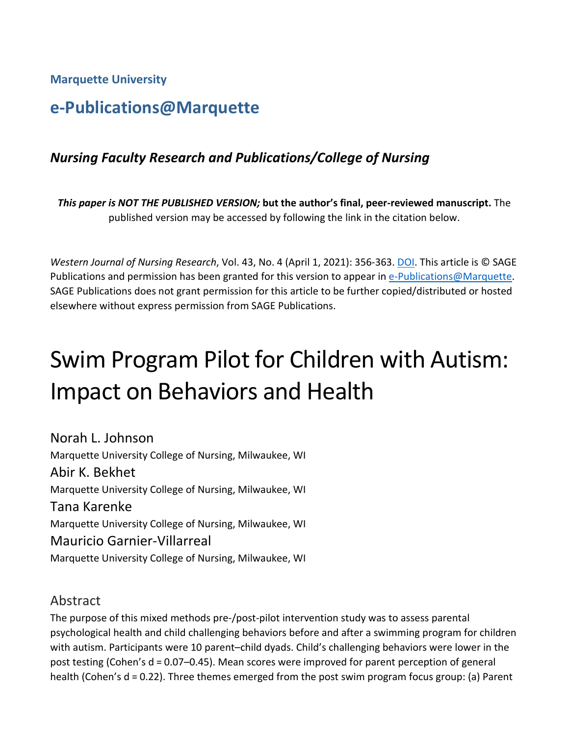**Marquette University**

# **e-Publications@Marquette**

## *Nursing Faculty Research and Publications/College of Nursing*

*This paper is NOT THE PUBLISHED VERSION;* **but the author's final, peer-reviewed manuscript.** The published version may be accessed by following the link in the citation below.

*Western Journal of Nursing Research*, Vol. 43, No. 4 (April 1, 2021): 356-363[. DOI.](https://doi.org/10.1177%2F0193945920948867) This article is © SAGE Publications and permission has been granted for this version to appear in [e-Publications@Marquette.](http://epublications.marquette.edu/) SAGE Publications does not grant permission for this article to be further copied/distributed or hosted elsewhere without express permission from SAGE Publications.

# Swim Program Pilot for Children with Autism: Impact on Behaviors and Health

Norah L. Johnson Marquette University College of Nursing, Milwaukee, WI Abir K. Bekhet Marquette University College of Nursing, Milwaukee, WI Tana Karenke Marquette University College of Nursing, Milwaukee, WI Mauricio Garnier-Villarreal Marquette University College of Nursing, Milwaukee, WI

## Abstract

The purpose of this mixed methods pre-/post-pilot intervention study was to assess parental psychological health and child challenging behaviors before and after a swimming program for children with autism. Participants were 10 parent–child dyads. Child's challenging behaviors were lower in the post testing (Cohen's d = 0.07–0.45). Mean scores were improved for parent perception of general health (Cohen's d = 0.22). Three themes emerged from the post swim program focus group: (a) Parent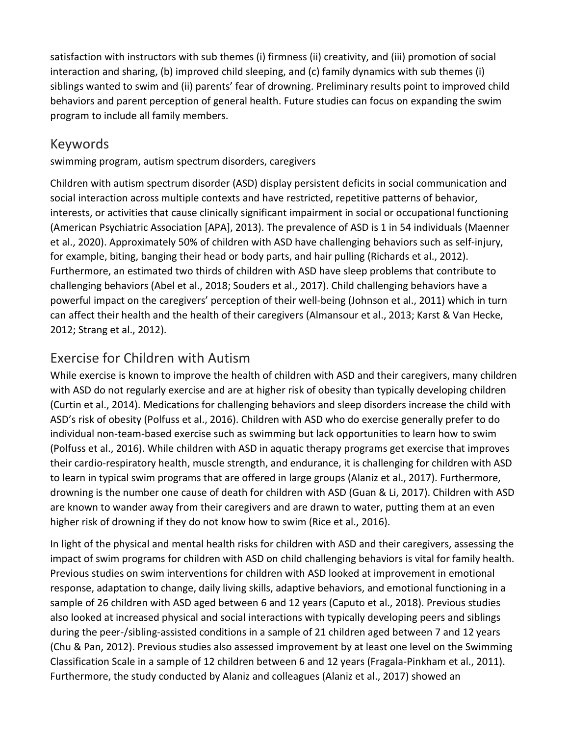satisfaction with instructors with sub themes (i) firmness (ii) creativity, and (iii) promotion of social interaction and sharing, (b) improved child sleeping, and (c) family dynamics with sub themes (i) siblings wanted to swim and (ii) parents' fear of drowning. Preliminary results point to improved child behaviors and parent perception of general health. Future studies can focus on expanding the swim program to include all family members.

## Keywords

swimming program, autism spectrum disorders, caregivers

Children with autism spectrum disorder (ASD) display persistent deficits in social communication and social interaction across multiple contexts and have restricted, repetitive patterns of behavior, interests, or activities that cause clinically significant impairment in social or occupational functioning (American Psychiatric Association [APA], 2013). The prevalence of ASD is 1 in 54 individuals (Maenner et al., 2020). Approximately 50% of children with ASD have challenging behaviors such as self-injury, for example, biting, banging their head or body parts, and hair pulling (Richards et al., 2012). Furthermore, an estimated two thirds of children with ASD have sleep problems that contribute to challenging behaviors (Abel et al., 2018; Souders et al., 2017). Child challenging behaviors have a powerful impact on the caregivers' perception of their well-being (Johnson et al., 2011) which in turn can affect their health and the health of their caregivers (Almansour et al., 2013; Karst & Van Hecke, 2012; Strang et al., 2012).

## Exercise for Children with Autism

While exercise is known to improve the health of children with ASD and their caregivers, many children with ASD do not regularly exercise and are at higher risk of obesity than typically developing children (Curtin et al., 2014). Medications for challenging behaviors and sleep disorders increase the child with ASD's risk of obesity (Polfuss et al., 2016). Children with ASD who do exercise generally prefer to do individual non-team-based exercise such as swimming but lack opportunities to learn how to swim (Polfuss et al., 2016). While children with ASD in aquatic therapy programs get exercise that improves their cardio-respiratory health, muscle strength, and endurance, it is challenging for children with ASD to learn in typical swim programs that are offered in large groups (Alaniz et al., 2017). Furthermore, drowning is the number one cause of death for children with ASD (Guan & Li, 2017). Children with ASD are known to wander away from their caregivers and are drawn to water, putting them at an even higher risk of drowning if they do not know how to swim (Rice et al., 2016).

In light of the physical and mental health risks for children with ASD and their caregivers, assessing the impact of swim programs for children with ASD on child challenging behaviors is vital for family health. Previous studies on swim interventions for children with ASD looked at improvement in emotional response, adaptation to change, daily living skills, adaptive behaviors, and emotional functioning in a sample of 26 children with ASD aged between 6 and 12 years (Caputo et al., 2018). Previous studies also looked at increased physical and social interactions with typically developing peers and siblings during the peer-/sibling-assisted conditions in a sample of 21 children aged between 7 and 12 years (Chu & Pan, 2012). Previous studies also assessed improvement by at least one level on the Swimming Classification Scale in a sample of 12 children between 6 and 12 years (Fragala-Pinkham et al., 2011). Furthermore, the study conducted by Alaniz and colleagues (Alaniz et al., 2017) showed an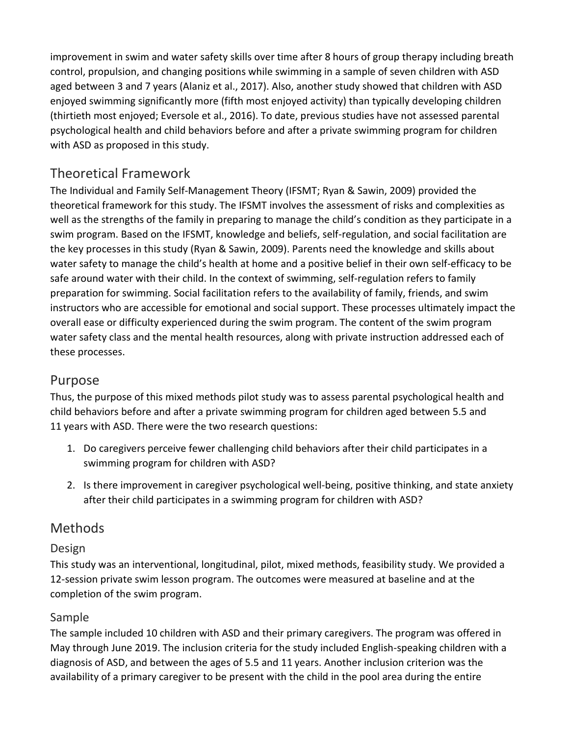improvement in swim and water safety skills over time after 8 hours of group therapy including breath control, propulsion, and changing positions while swimming in a sample of seven children with ASD aged between 3 and 7 years (Alaniz et al., 2017). Also, another study showed that children with ASD enjoyed swimming significantly more (fifth most enjoyed activity) than typically developing children (thirtieth most enjoyed; Eversole et al., 2016). To date, previous studies have not assessed parental psychological health and child behaviors before and after a private swimming program for children with ASD as proposed in this study.

## Theoretical Framework

The Individual and Family Self-Management Theory (IFSMT; Ryan & Sawin, 2009) provided the theoretical framework for this study. The IFSMT involves the assessment of risks and complexities as well as the strengths of the family in preparing to manage the child's condition as they participate in a swim program. Based on the IFSMT, knowledge and beliefs, self-regulation, and social facilitation are the key processes in this study (Ryan & Sawin, 2009). Parents need the knowledge and skills about water safety to manage the child's health at home and a positive belief in their own self-efficacy to be safe around water with their child. In the context of swimming, self-regulation refers to family preparation for swimming. Social facilitation refers to the availability of family, friends, and swim instructors who are accessible for emotional and social support. These processes ultimately impact the overall ease or difficulty experienced during the swim program. The content of the swim program water safety class and the mental health resources, along with private instruction addressed each of these processes.

## Purpose

Thus, the purpose of this mixed methods pilot study was to assess parental psychological health and child behaviors before and after a private swimming program for children aged between 5.5 and 11 years with ASD. There were the two research questions:

- 1. Do caregivers perceive fewer challenging child behaviors after their child participates in a swimming program for children with ASD?
- 2. Is there improvement in caregiver psychological well-being, positive thinking, and state anxiety after their child participates in a swimming program for children with ASD?

## Methods

#### Design

This study was an interventional, longitudinal, pilot, mixed methods, feasibility study. We provided a 12-session private swim lesson program. The outcomes were measured at baseline and at the completion of the swim program.

#### Sample

The sample included 10 children with ASD and their primary caregivers. The program was offered in May through June 2019. The inclusion criteria for the study included English-speaking children with a diagnosis of ASD, and between the ages of 5.5 and 11 years. Another inclusion criterion was the availability of a primary caregiver to be present with the child in the pool area during the entire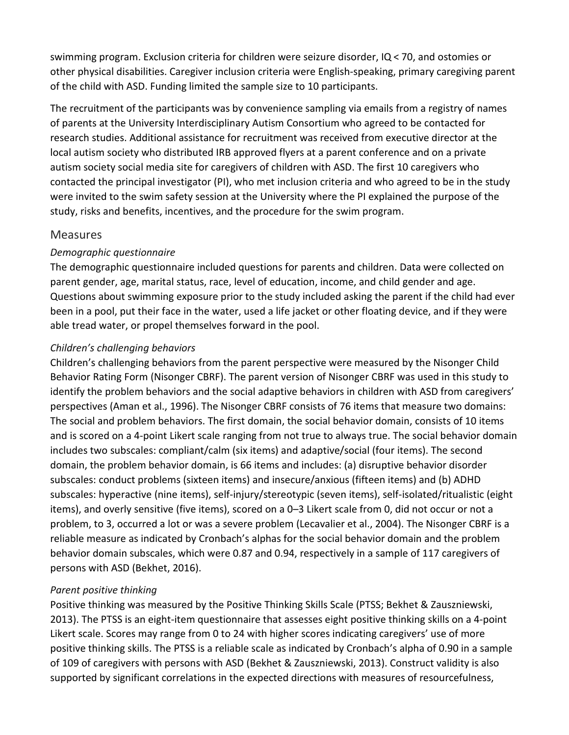swimming program. Exclusion criteria for children were seizure disorder, IQ < 70, and ostomies or other physical disabilities. Caregiver inclusion criteria were English-speaking, primary caregiving parent of the child with ASD. Funding limited the sample size to 10 participants.

The recruitment of the participants was by convenience sampling via emails from a registry of names of parents at the University Interdisciplinary Autism Consortium who agreed to be contacted for research studies. Additional assistance for recruitment was received from executive director at the local autism society who distributed IRB approved flyers at a parent conference and on a private autism society social media site for caregivers of children with ASD. The first 10 caregivers who contacted the principal investigator (PI), who met inclusion criteria and who agreed to be in the study were invited to the swim safety session at the University where the PI explained the purpose of the study, risks and benefits, incentives, and the procedure for the swim program.

#### Measures

#### *Demographic questionnaire*

The demographic questionnaire included questions for parents and children. Data were collected on parent gender, age, marital status, race, level of education, income, and child gender and age. Questions about swimming exposure prior to the study included asking the parent if the child had ever been in a pool, put their face in the water, used a life jacket or other floating device, and if they were able tread water, or propel themselves forward in the pool.

#### *Children's challenging behaviors*

Children's challenging behaviors from the parent perspective were measured by the Nisonger Child Behavior Rating Form (Nisonger CBRF). The parent version of Nisonger CBRF was used in this study to identify the problem behaviors and the social adaptive behaviors in children with ASD from caregivers' perspectives (Aman et al., 1996). The Nisonger CBRF consists of 76 items that measure two domains: The social and problem behaviors. The first domain, the social behavior domain, consists of 10 items and is scored on a 4-point Likert scale ranging from not true to always true. The social behavior domain includes two subscales: compliant/calm (six items) and adaptive/social (four items). The second domain, the problem behavior domain, is 66 items and includes: (a) disruptive behavior disorder subscales: conduct problems (sixteen items) and insecure/anxious (fifteen items) and (b) ADHD subscales: hyperactive (nine items), self-injury/stereotypic (seven items), self-isolated/ritualistic (eight items), and overly sensitive (five items), scored on a 0–3 Likert scale from 0, did not occur or not a problem, to 3, occurred a lot or was a severe problem (Lecavalier et al., 2004). The Nisonger CBRF is a reliable measure as indicated by Cronbach's alphas for the social behavior domain and the problem behavior domain subscales, which were 0.87 and 0.94, respectively in a sample of 117 caregivers of persons with ASD (Bekhet, 2016).

#### *Parent positive thinking*

Positive thinking was measured by the Positive Thinking Skills Scale (PTSS; Bekhet & Zauszniewski, 2013). The PTSS is an eight-item questionnaire that assesses eight positive thinking skills on a 4-point Likert scale. Scores may range from 0 to 24 with higher scores indicating caregivers' use of more positive thinking skills. The PTSS is a reliable scale as indicated by Cronbach's alpha of 0.90 in a sample of 109 of caregivers with persons with ASD (Bekhet & Zauszniewski, 2013). Construct validity is also supported by significant correlations in the expected directions with measures of resourcefulness,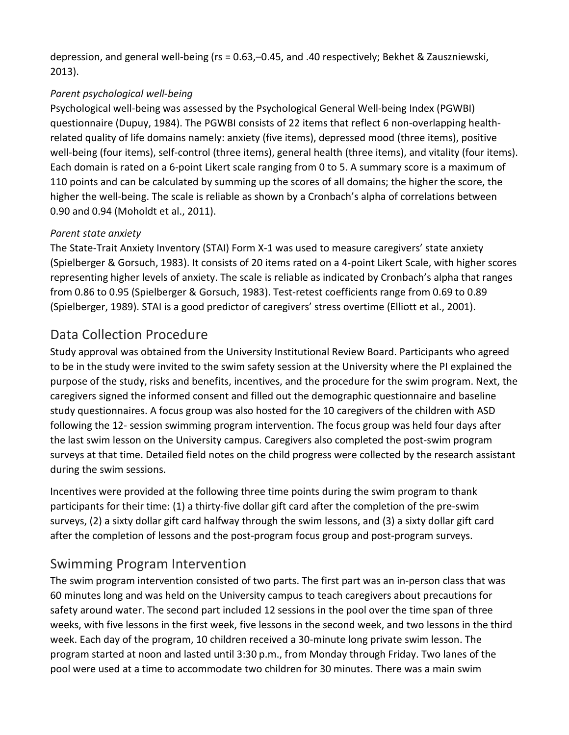depression, and general well-being (rs = 0.63,–0.45, and .40 respectively; Bekhet & Zauszniewski, 2013).

#### *Parent psychological well-being*

Psychological well-being was assessed by the Psychological General Well-being Index (PGWBI) questionnaire (Dupuy, 1984). The PGWBI consists of 22 items that reflect 6 non-overlapping healthrelated quality of life domains namely: anxiety (five items), depressed mood (three items), positive well-being (four items), self-control (three items), general health (three items), and vitality (four items). Each domain is rated on a 6-point Likert scale ranging from 0 to 5. A summary score is a maximum of 110 points and can be calculated by summing up the scores of all domains; the higher the score, the higher the well-being. The scale is reliable as shown by a Cronbach's alpha of correlations between 0.90 and 0.94 (Moholdt et al., 2011).

#### *Parent state anxiety*

The State-Trait Anxiety Inventory (STAI) Form X-1 was used to measure caregivers' state anxiety (Spielberger & Gorsuch, 1983). It consists of 20 items rated on a 4-point Likert Scale, with higher scores representing higher levels of anxiety. The scale is reliable as indicated by Cronbach's alpha that ranges from 0.86 to 0.95 (Spielberger & Gorsuch, 1983). Test-retest coefficients range from 0.69 to 0.89 (Spielberger, 1989). STAI is a good predictor of caregivers' stress overtime (Elliott et al., 2001).

## Data Collection Procedure

Study approval was obtained from the University Institutional Review Board. Participants who agreed to be in the study were invited to the swim safety session at the University where the PI explained the purpose of the study, risks and benefits, incentives, and the procedure for the swim program. Next, the caregivers signed the informed consent and filled out the demographic questionnaire and baseline study questionnaires. A focus group was also hosted for the 10 caregivers of the children with ASD following the 12- session swimming program intervention. The focus group was held four days after the last swim lesson on the University campus. Caregivers also completed the post-swim program surveys at that time. Detailed field notes on the child progress were collected by the research assistant during the swim sessions.

Incentives were provided at the following three time points during the swim program to thank participants for their time: (1) a thirty-five dollar gift card after the completion of the pre-swim surveys, (2) a sixty dollar gift card halfway through the swim lessons, and (3) a sixty dollar gift card after the completion of lessons and the post-program focus group and post-program surveys.

## Swimming Program Intervention

The swim program intervention consisted of two parts. The first part was an in-person class that was 60 minutes long and was held on the University campus to teach caregivers about precautions for safety around water. The second part included 12 sessions in the pool over the time span of three weeks, with five lessons in the first week, five lessons in the second week, and two lessons in the third week. Each day of the program, 10 children received a 30-minute long private swim lesson. The program started at noon and lasted until 3:30 p.m., from Monday through Friday. Two lanes of the pool were used at a time to accommodate two children for 30 minutes. There was a main swim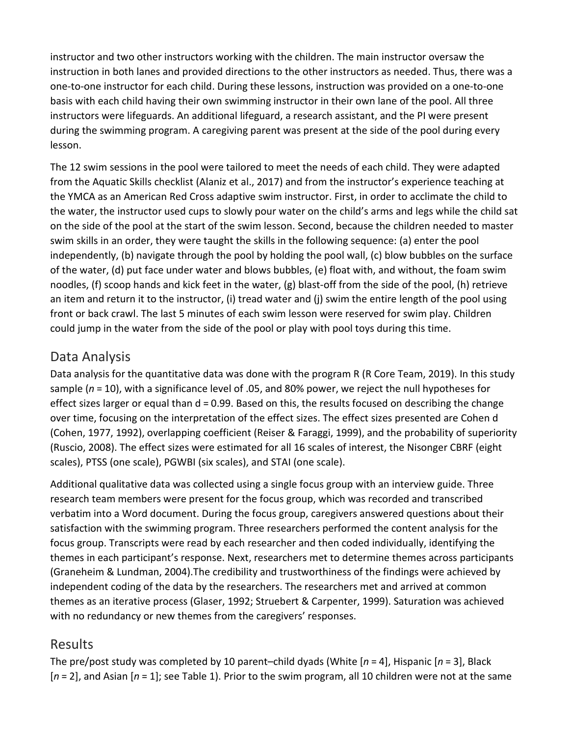instructor and two other instructors working with the children. The main instructor oversaw the instruction in both lanes and provided directions to the other instructors as needed. Thus, there was a one-to-one instructor for each child. During these lessons, instruction was provided on a one-to-one basis with each child having their own swimming instructor in their own lane of the pool. All three instructors were lifeguards. An additional lifeguard, a research assistant, and the PI were present during the swimming program. A caregiving parent was present at the side of the pool during every lesson.

The 12 swim sessions in the pool were tailored to meet the needs of each child. They were adapted from the Aquatic Skills checklist (Alaniz et al., 2017) and from the instructor's experience teaching at the YMCA as an American Red Cross adaptive swim instructor. First, in order to acclimate the child to the water, the instructor used cups to slowly pour water on the child's arms and legs while the child sat on the side of the pool at the start of the swim lesson. Second, because the children needed to master swim skills in an order, they were taught the skills in the following sequence: (a) enter the pool independently, (b) navigate through the pool by holding the pool wall, (c) blow bubbles on the surface of the water, (d) put face under water and blows bubbles, (e) float with, and without, the foam swim noodles, (f) scoop hands and kick feet in the water, (g) blast-off from the side of the pool, (h) retrieve an item and return it to the instructor, (i) tread water and (j) swim the entire length of the pool using front or back crawl. The last 5 minutes of each swim lesson were reserved for swim play. Children could jump in the water from the side of the pool or play with pool toys during this time.

## Data Analysis

Data analysis for the quantitative data was done with the program R (R Core Team, 2019). In this study sample (*n* = 10), with a significance level of .05, and 80% power, we reject the null hypotheses for effect sizes larger or equal than d = 0.99. Based on this, the results focused on describing the change over time, focusing on the interpretation of the effect sizes. The effect sizes presented are Cohen d (Cohen, 1977, 1992), overlapping coefficient (Reiser & Faraggi, 1999), and the probability of superiority (Ruscio, 2008). The effect sizes were estimated for all 16 scales of interest, the Nisonger CBRF (eight scales), PTSS (one scale), PGWBI (six scales), and STAI (one scale).

Additional qualitative data was collected using a single focus group with an interview guide. Three research team members were present for the focus group, which was recorded and transcribed verbatim into a Word document. During the focus group, caregivers answered questions about their satisfaction with the swimming program. Three researchers performed the content analysis for the focus group. Transcripts were read by each researcher and then coded individually, identifying the themes in each participant's response. Next, researchers met to determine themes across participants (Graneheim & Lundman, 2004).The credibility and trustworthiness of the findings were achieved by independent coding of the data by the researchers. The researchers met and arrived at common themes as an iterative process (Glaser, 1992; Struebert & Carpenter, 1999). Saturation was achieved with no redundancy or new themes from the caregivers' responses.

## Results

The pre/post study was completed by 10 parent–child dyads (White [*n* = 4], Hispanic [*n* = 3], Black [*n* = 2], and Asian [*n* = 1]; see Table 1). Prior to the swim program, all 10 children were not at the same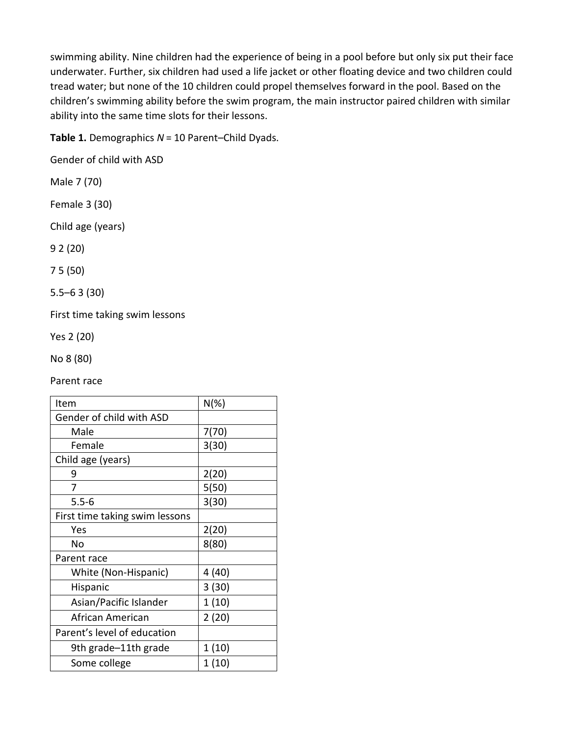swimming ability. Nine children had the experience of being in a pool before but only six put their face underwater. Further, six children had used a life jacket or other floating device and two children could tread water; but none of the 10 children could propel themselves forward in the pool. Based on the children's swimming ability before the swim program, the main instructor paired children with similar ability into the same time slots for their lessons.

**Table 1.** Demographics *N* = 10 Parent–Child Dyads.

Gender of child with ASD

- Male 7 (70)
- Female 3 (30)

Child age (years)

9 2 (20)

7 5 (50)

5.5–6 3 (30)

First time taking swim lessons

Yes 2 (20)

No 8 (80)

Parent race

| Item                           | $N(\%)$ |
|--------------------------------|---------|
| Gender of child with ASD       |         |
| Male                           | 7(70)   |
| Female                         | 3(30)   |
| Child age (years)              |         |
| 9                              | 2(20)   |
| 7                              | 5(50)   |
| $5.5 - 6$                      | 3(30)   |
| First time taking swim lessons |         |
| Yes                            | 2(20)   |
| No                             | 8(80)   |
| Parent race                    |         |
| White (Non-Hispanic)           | 4 (40)  |
| Hispanic                       | 3(30)   |
| Asian/Pacific Islander         | 1(10)   |
| African American               | 2(20)   |
| Parent's level of education    |         |
| 9th grade-11th grade           | 1(10)   |
| Some college                   | 1(10)   |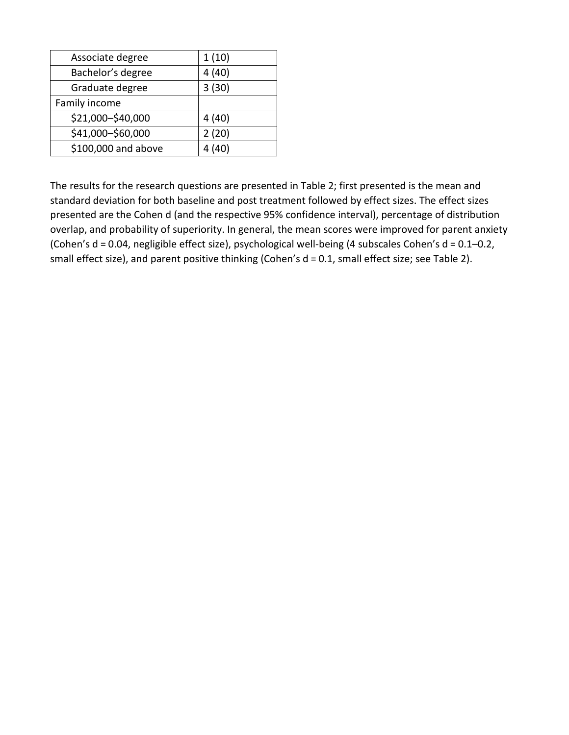| Associate degree    | 1(10) |
|---------------------|-------|
| Bachelor's degree   | 4(40) |
| Graduate degree     | 3(30) |
| Family income       |       |
| \$21,000-\$40,000   | 4(40) |
| \$41,000-\$60,000   | 2(20) |
| \$100,000 and above | 4(40) |

The results for the research questions are presented in Table 2; first presented is the mean and standard deviation for both baseline and post treatment followed by effect sizes. The effect sizes presented are the Cohen d (and the respective 95% confidence interval), percentage of distribution overlap, and probability of superiority. In general, the mean scores were improved for parent anxiety (Cohen's d = 0.04, negligible effect size), psychological well-being (4 subscales Cohen's d = 0.1–0.2, small effect size), and parent positive thinking (Cohen's d = 0.1, small effect size; see Table 2).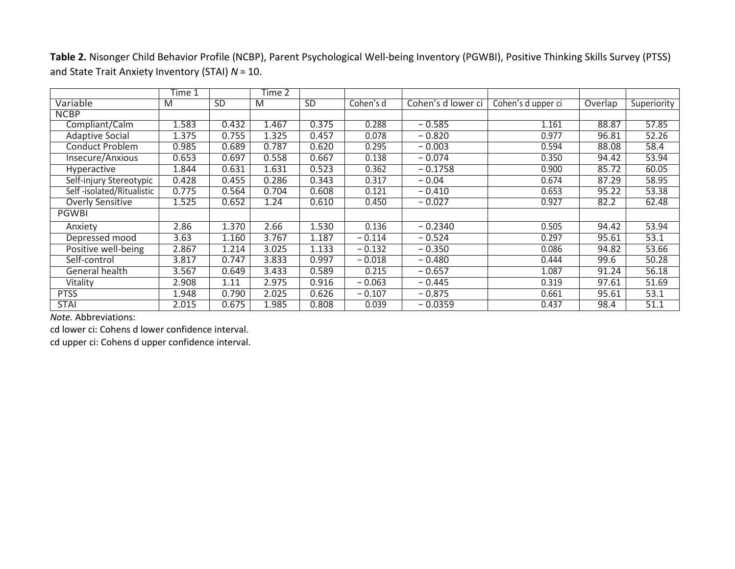**Table 2.** Nisonger Child Behavior Profile (NCBP), Parent Psychological Well-being Inventory (PGWBI), Positive Thinking Skills Survey (PTSS) and State Trait Anxiety Inventory (STAI) *N* = 10.

|                           | Time 1 |           | Time 2 |           |           |                    |                    |         |             |
|---------------------------|--------|-----------|--------|-----------|-----------|--------------------|--------------------|---------|-------------|
| Variable                  | M      | <b>SD</b> | M      | <b>SD</b> | Cohen's d | Cohen's d lower ci | Cohen's d upper ci | Overlap | Superiority |
| <b>NCBP</b>               |        |           |        |           |           |                    |                    |         |             |
| Compliant/Calm            | 1.583  | 0.432     | 1.467  | 0.375     | 0.288     | $-0.585$           | 1.161              | 88.87   | 57.85       |
| <b>Adaptive Social</b>    | 1.375  | 0.755     | 1.325  | 0.457     | 0.078     | $-0.820$           | 0.977              | 96.81   | 52.26       |
| Conduct Problem           | 0.985  | 0.689     | 0.787  | 0.620     | 0.295     | $-0.003$           | 0.594              | 88.08   | 58.4        |
| Insecure/Anxious          | 0.653  | 0.697     | 0.558  | 0.667     | 0.138     | $-0.074$           | 0.350              | 94.42   | 53.94       |
| <b>Hyperactive</b>        | 1.844  | 0.631     | 1.631  | 0.523     | 0.362     | $-0.1758$          | 0.900              | 85.72   | 60.05       |
| Self-injury Stereotypic   | 0.428  | 0.455     | 0.286  | 0.343     | 0.317     | $-0.04$            | 0.674              | 87.29   | 58.95       |
| Self-isolated/Ritualistic | 0.775  | 0.564     | 0.704  | 0.608     | 0.121     | $-0.410$           | 0.653              | 95.22   | 53.38       |
| <b>Overly Sensitive</b>   | 1.525  | 0.652     | 1.24   | 0.610     | 0.450     | $-0.027$           | 0.927              | 82.2    | 62.48       |
| <b>PGWBI</b>              |        |           |        |           |           |                    |                    |         |             |
| Anxiety                   | 2.86   | 1.370     | 2.66   | 1.530     | 0.136     | $-0.2340$          | 0.505              | 94.42   | 53.94       |
| Depressed mood            | 3.63   | 1.160     | 3.767  | 1.187     | $-0.114$  | $-0.524$           | 0.297              | 95.61   | 53.1        |
| Positive well-being       | 2.867  | 1.214     | 3.025  | 1.133     | $-0.132$  | $-0.350$           | 0.086              | 94.82   | 53.66       |
| Self-control              | 3.817  | 0.747     | 3.833  | 0.997     | $-0.018$  | $-0.480$           | 0.444              | 99.6    | 50.28       |
| General health            | 3.567  | 0.649     | 3.433  | 0.589     | 0.215     | $-0.657$           | 1.087              | 91.24   | 56.18       |
| Vitality                  | 2.908  | 1.11      | 2.975  | 0.916     | $-0.063$  | $-0.445$           | 0.319              | 97.61   | 51.69       |
| <b>PTSS</b>               | 1.948  | 0.790     | 2.025  | 0.626     | $-0.107$  | $-0.875$           | 0.661              | 95.61   | 53.1        |
| <b>STAI</b>               | 2.015  | 0.675     | 1.985  | 0.808     | 0.039     | $-0.0359$          | 0.437              | 98.4    | 51.1        |

*Note.* Abbreviations:

cd lower ci: Cohens d lower confidence interval.

cd upper ci: Cohens d upper confidence interval.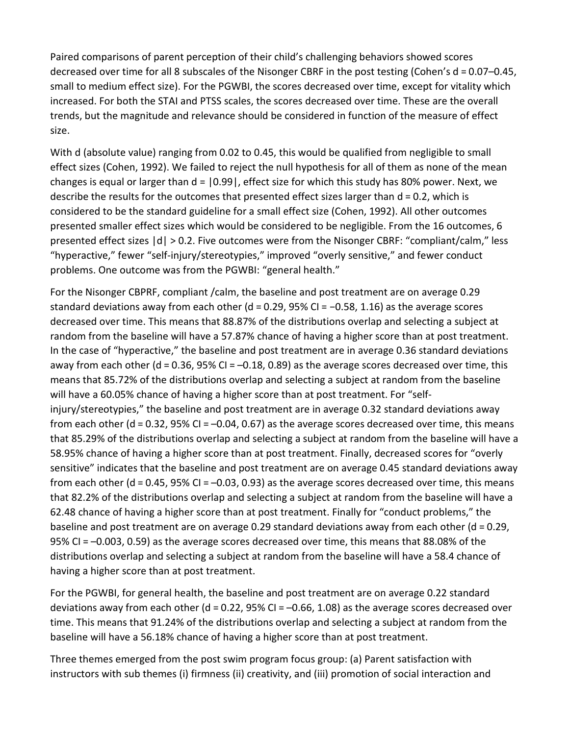Paired comparisons of parent perception of their child's challenging behaviors showed scores decreased over time for all 8 subscales of the Nisonger CBRF in the post testing (Cohen's d = 0.07–0.45, small to medium effect size). For the PGWBI, the scores decreased over time, except for vitality which increased. For both the STAI and PTSS scales, the scores decreased over time. These are the overall trends, but the magnitude and relevance should be considered in function of the measure of effect size.

With d (absolute value) ranging from 0.02 to 0.45, this would be qualified from negligible to small effect sizes (Cohen, 1992). We failed to reject the null hypothesis for all of them as none of the mean changes is equal or larger than  $d = |0.99|$ , effect size for which this study has 80% power. Next, we describe the results for the outcomes that presented effect sizes larger than d = 0.2, which is considered to be the standard guideline for a small effect size (Cohen, 1992). All other outcomes presented smaller effect sizes which would be considered to be negligible. From the 16 outcomes, 6 presented effect sizes |d| > 0.2. Five outcomes were from the Nisonger CBRF: "compliant/calm," less "hyperactive," fewer "self-injury/stereotypies," improved "overly sensitive," and fewer conduct problems. One outcome was from the PGWBI: "general health."

For the Nisonger CBPRF, compliant /calm, the baseline and post treatment are on average 0.29 standard deviations away from each other (d = 0.29, 95% CI = −0.58, 1.16) as the average scores decreased over time. This means that 88.87% of the distributions overlap and selecting a subject at random from the baseline will have a 57.87% chance of having a higher score than at post treatment. In the case of "hyperactive," the baseline and post treatment are in average 0.36 standard deviations away from each other (d = 0.36, 95% CI = –0.18, 0.89) as the average scores decreased over time, this means that 85.72% of the distributions overlap and selecting a subject at random from the baseline will have a 60.05% chance of having a higher score than at post treatment. For "selfinjury/stereotypies," the baseline and post treatment are in average 0.32 standard deviations away from each other (d = 0.32, 95% CI = –0.04, 0.67) as the average scores decreased over time, this means that 85.29% of the distributions overlap and selecting a subject at random from the baseline will have a 58.95% chance of having a higher score than at post treatment. Finally, decreased scores for "overly sensitive" indicates that the baseline and post treatment are on average 0.45 standard deviations away from each other (d = 0.45, 95% CI = –0.03, 0.93) as the average scores decreased over time, this means that 82.2% of the distributions overlap and selecting a subject at random from the baseline will have a 62.48 chance of having a higher score than at post treatment. Finally for "conduct problems," the baseline and post treatment are on average 0.29 standard deviations away from each other (d = 0.29, 95% CI = –0.003, 0.59) as the average scores decreased over time, this means that 88.08% of the distributions overlap and selecting a subject at random from the baseline will have a 58.4 chance of having a higher score than at post treatment.

For the PGWBI, for general health, the baseline and post treatment are on average 0.22 standard deviations away from each other (d = 0.22, 95% CI = –0.66, 1.08) as the average scores decreased over time. This means that 91.24% of the distributions overlap and selecting a subject at random from the baseline will have a 56.18% chance of having a higher score than at post treatment.

Three themes emerged from the post swim program focus group: (a) Parent satisfaction with instructors with sub themes (i) firmness (ii) creativity, and (iii) promotion of social interaction and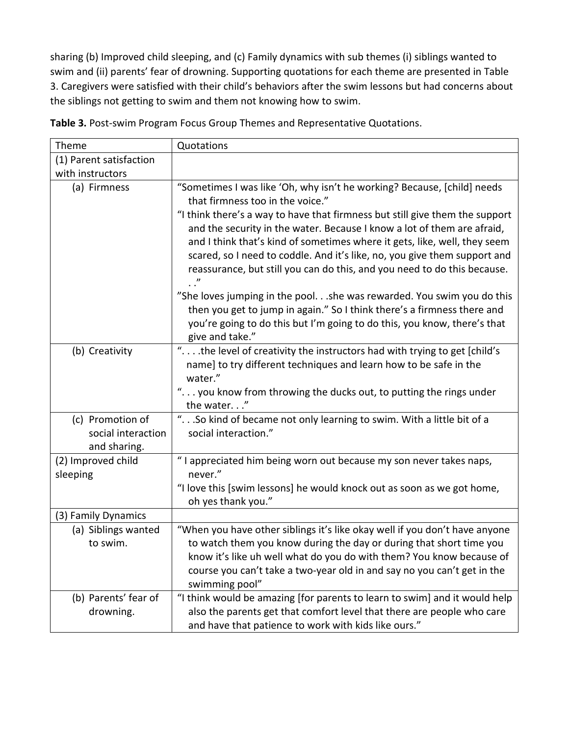sharing (b) Improved child sleeping, and (c) Family dynamics with sub themes (i) siblings wanted to swim and (ii) parents' fear of drowning. Supporting quotations for each theme are presented in Table 3. Caregivers were satisfied with their child's behaviors after the swim lessons but had concerns about the siblings not getting to swim and them not knowing how to swim.

| Theme                                                  | Quotations                                                                                                                                                                                                                                                                                                                                                                                                                                                                                                                                                                                                                                                                                                                                                      |
|--------------------------------------------------------|-----------------------------------------------------------------------------------------------------------------------------------------------------------------------------------------------------------------------------------------------------------------------------------------------------------------------------------------------------------------------------------------------------------------------------------------------------------------------------------------------------------------------------------------------------------------------------------------------------------------------------------------------------------------------------------------------------------------------------------------------------------------|
| (1) Parent satisfaction                                |                                                                                                                                                                                                                                                                                                                                                                                                                                                                                                                                                                                                                                                                                                                                                                 |
| with instructors                                       |                                                                                                                                                                                                                                                                                                                                                                                                                                                                                                                                                                                                                                                                                                                                                                 |
| (a) Firmness                                           | "Sometimes I was like 'Oh, why isn't he working? Because, [child] needs<br>that firmness too in the voice."<br>"I think there's a way to have that firmness but still give them the support<br>and the security in the water. Because I know a lot of them are afraid,<br>and I think that's kind of sometimes where it gets, like, well, they seem<br>scared, so I need to coddle. And it's like, no, you give them support and<br>reassurance, but still you can do this, and you need to do this because.<br>"She loves jumping in the pool.she was rewarded. You swim you do this<br>then you get to jump in again." So I think there's a firmness there and<br>you're going to do this but I'm going to do this, you know, there's that<br>give and take." |
| (b) Creativity                                         | " .the level of creativity the instructors had with trying to get [child's<br>name] to try different techniques and learn how to be safe in the<br>water."<br>" you know from throwing the ducks out, to putting the rings under<br>the water"                                                                                                                                                                                                                                                                                                                                                                                                                                                                                                                  |
| (c) Promotion of<br>social interaction<br>and sharing. | "So kind of became not only learning to swim. With a little bit of a<br>social interaction."                                                                                                                                                                                                                                                                                                                                                                                                                                                                                                                                                                                                                                                                    |
| (2) Improved child<br>sleeping                         | "I appreciated him being worn out because my son never takes naps,<br>never."                                                                                                                                                                                                                                                                                                                                                                                                                                                                                                                                                                                                                                                                                   |
|                                                        | "I love this [swim lessons] he would knock out as soon as we got home,<br>oh yes thank you."                                                                                                                                                                                                                                                                                                                                                                                                                                                                                                                                                                                                                                                                    |
| (3) Family Dynamics                                    |                                                                                                                                                                                                                                                                                                                                                                                                                                                                                                                                                                                                                                                                                                                                                                 |
| (a) Siblings wanted<br>to swim.                        | "When you have other siblings it's like okay well if you don't have anyone<br>to watch them you know during the day or during that short time you<br>know it's like uh well what do you do with them? You know because of<br>course you can't take a two-year old in and say no you can't get in the<br>swimming pool"                                                                                                                                                                                                                                                                                                                                                                                                                                          |
| (b) Parents' fear of<br>drowning.                      | "I think would be amazing [for parents to learn to swim] and it would help<br>also the parents get that comfort level that there are people who care<br>and have that patience to work with kids like ours."                                                                                                                                                                                                                                                                                                                                                                                                                                                                                                                                                    |

**Table 3.** Post-swim Program Focus Group Themes and Representative Quotations.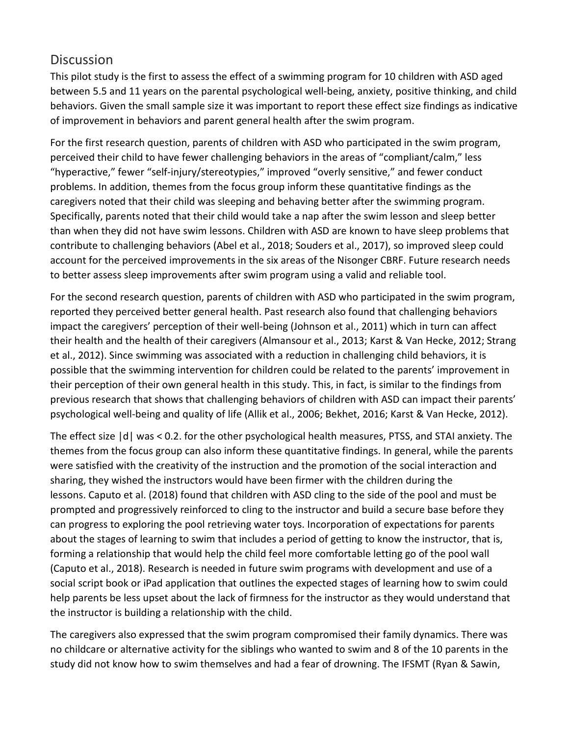## **Discussion**

This pilot study is the first to assess the effect of a swimming program for 10 children with ASD aged between 5.5 and 11 years on the parental psychological well-being, anxiety, positive thinking, and child behaviors. Given the small sample size it was important to report these effect size findings as indicative of improvement in behaviors and parent general health after the swim program.

For the first research question, parents of children with ASD who participated in the swim program, perceived their child to have fewer challenging behaviors in the areas of "compliant/calm," less "hyperactive," fewer "self-injury/stereotypies," improved "overly sensitive," and fewer conduct problems. In addition, themes from the focus group inform these quantitative findings as the caregivers noted that their child was sleeping and behaving better after the swimming program. Specifically, parents noted that their child would take a nap after the swim lesson and sleep better than when they did not have swim lessons. Children with ASD are known to have sleep problems that contribute to challenging behaviors (Abel et al., 2018; Souders et al., 2017), so improved sleep could account for the perceived improvements in the six areas of the Nisonger CBRF. Future research needs to better assess sleep improvements after swim program using a valid and reliable tool.

For the second research question, parents of children with ASD who participated in the swim program, reported they perceived better general health. Past research also found that challenging behaviors impact the caregivers' perception of their well-being (Johnson et al., 2011) which in turn can affect their health and the health of their caregivers (Almansour et al., 2013; Karst & Van Hecke, 2012; Strang et al., 2012). Since swimming was associated with a reduction in challenging child behaviors, it is possible that the swimming intervention for children could be related to the parents' improvement in their perception of their own general health in this study. This, in fact, is similar to the findings from previous research that shows that challenging behaviors of children with ASD can impact their parents' psychological well-being and quality of life (Allik et al., 2006; Bekhet, 2016; Karst & Van Hecke, 2012).

The effect size |d| was < 0.2. for the other psychological health measures, PTSS, and STAI anxiety. The themes from the focus group can also inform these quantitative findings. In general, while the parents were satisfied with the creativity of the instruction and the promotion of the social interaction and sharing, they wished the instructors would have been firmer with the children during the lessons. Caputo et al. (2018) found that children with ASD cling to the side of the pool and must be prompted and progressively reinforced to cling to the instructor and build a secure base before they can progress to exploring the pool retrieving water toys. Incorporation of expectations for parents about the stages of learning to swim that includes a period of getting to know the instructor, that is, forming a relationship that would help the child feel more comfortable letting go of the pool wall (Caputo et al., 2018). Research is needed in future swim programs with development and use of a social script book or iPad application that outlines the expected stages of learning how to swim could help parents be less upset about the lack of firmness for the instructor as they would understand that the instructor is building a relationship with the child.

The caregivers also expressed that the swim program compromised their family dynamics. There was no childcare or alternative activity for the siblings who wanted to swim and 8 of the 10 parents in the study did not know how to swim themselves and had a fear of drowning. The IFSMT (Ryan & Sawin,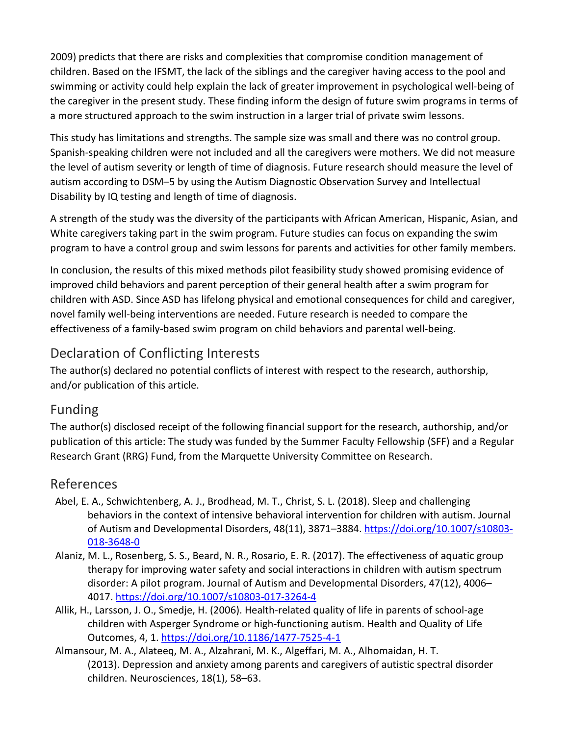2009) predicts that there are risks and complexities that compromise condition management of children. Based on the IFSMT, the lack of the siblings and the caregiver having access to the pool and swimming or activity could help explain the lack of greater improvement in psychological well-being of the caregiver in the present study. These finding inform the design of future swim programs in terms of a more structured approach to the swim instruction in a larger trial of private swim lessons.

This study has limitations and strengths. The sample size was small and there was no control group. Spanish-speaking children were not included and all the caregivers were mothers. We did not measure the level of autism severity or length of time of diagnosis. Future research should measure the level of autism according to DSM–5 by using the Autism Diagnostic Observation Survey and Intellectual Disability by IQ testing and length of time of diagnosis.

A strength of the study was the diversity of the participants with African American, Hispanic, Asian, and White caregivers taking part in the swim program. Future studies can focus on expanding the swim program to have a control group and swim lessons for parents and activities for other family members.

In conclusion, the results of this mixed methods pilot feasibility study showed promising evidence of improved child behaviors and parent perception of their general health after a swim program for children with ASD. Since ASD has lifelong physical and emotional consequences for child and caregiver, novel family well-being interventions are needed. Future research is needed to compare the effectiveness of a family-based swim program on child behaviors and parental well-being.

## Declaration of Conflicting Interests

The author(s) declared no potential conflicts of interest with respect to the research, authorship, and/or publication of this article.

## Funding

The author(s) disclosed receipt of the following financial support for the research, authorship, and/or publication of this article: The study was funded by the Summer Faculty Fellowship (SFF) and a Regular Research Grant (RRG) Fund, from the Marquette University Committee on Research.

## References

- Abel, E. A., Schwichtenberg, A. J., Brodhead, M. T., Christ, S. L. (2018). Sleep and challenging behaviors in the context of intensive behavioral intervention for children with autism. Journal of Autism and Developmental Disorders, 48(11), 3871–3884. [https://doi.org/10.1007/s10803](https://doi.org/10.1007/s10803-018-3648-0)- [018-3648-0](https://doi.org/10.1007/s10803-018-3648-0)
- Alaniz, M. L., Rosenberg, S. S., Beard, N. R., Rosario, E. R. (2017). The effectiveness of aquatic group therapy for improving water safety and social interactions in children with autism spectrum disorder: A pilot program. Journal of Autism and Developmental Disorders, 47(12), 4006– 4017. [https://doi.org/10.1007/s10803](https://doi.org/10.1007/s10803-017-3264-4)-017-3264-4
- Allik, H., Larsson, J. O., Smedje, H. (2006). Health-related quality of life in parents of school-age children with Asperger Syndrome or high-functioning autism. Health and Quality of Life Outcomes, 4, 1. [https://doi.org/10.1186/1](https://doi.org/10.1186/1477-7525-4-1)477-7525-4-1
- Almansour, M. A., Alateeq, M. A., Alzahrani, M. K., Algeffari, M. A., Alhomaidan, H. T. (2013). Depression and anxiety among parents and caregivers of autistic spectral disorder children. Neurosciences, 18(1), 58–63.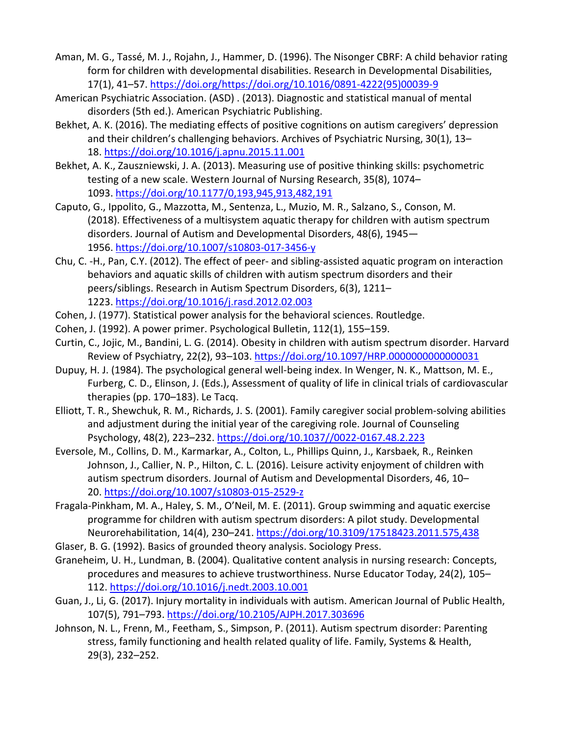- Aman, M. G., Tassé, M. J., Rojahn, J., Hammer, D. (1996). The Nisonger CBRF: A child behavior rating form for children with developmental disabilities. Research in Developmental Disabilities, 17(1), 41–57. [https://doi.org/https://doi.org/10.1016/0891-4222\(95\)00039-9](https://doi.org/https:/doi.org/10.1016/0891-4222(95)00039-9)
- American Psychiatric Association. (ASD) . (2013). Diagnostic and statistical manual of mental disorders (5th ed.). American Psychiatric Publishing.
- Bekhet, A. K. (2016). The mediating effects of positive cognitions on autism caregivers' depression and their children's challenging behaviors. Archives of Psychiatric Nursing, 30(1), 13– 18. <https://doi.org/10.1016/j.apnu.2015.11.001>
- Bekhet, A. K., Zauszniewski, J. A. (2013). Measuring use of positive thinking skills: psychometric testing of a new scale. Western Journal of Nursing Research, 35(8), 1074– 1093. <https://doi.org/10.1177/0,193,945,913,482,191>
- Caputo, G., Ippolito, G., Mazzotta, M., Sentenza, L., Muzio, M. R., Salzano, S., Conson, M. (2018). Effectiveness of a multisystem aquatic therapy for children with autism spectrum disorders. Journal of Autism and Developmental Disorders, 48(6), 1945— 1956. [https://doi.org/10.1007/s10803](https://doi.org/10.1007/s10803-017-3456-y)-017-3456-y
- Chu, C. -H., Pan, C.Y. (2012). The effect of peer- and sibling-assisted aquatic program on interaction behaviors and aquatic skills of children with autism spectrum disorders and their peers/siblings. Research in Autism Spectrum Disorders, 6(3), 1211– 1223. <https://doi.org/10.1016/j.rasd.2012.02.003>
- Cohen, J. (1977). Statistical power analysis for the behavioral sciences. Routledge.
- Cohen, J. (1992). A power primer. Psychological Bulletin, 112(1), 155–159.
- Curtin, C., Jojic, M., Bandini, L. G. (2014). Obesity in children with autism spectrum disorder. Harvard Review of Psychiatry, 22(2), 93-103. <https://doi.org/10.1097/HRP.0000000000000031>
- Dupuy, H. J. (1984). The psychological general well-being index. In Wenger, N. K., Mattson, M. E., Furberg, C. D., Elinson, J. (Eds.), Assessment of quality of life in clinical trials of cardiovascular therapies (pp. 170–183). Le Tacq.
- Elliott, T. R., Shewchuk, R. M., Richards, J. S. (2001). Family caregiver social problem-solving abilities and adjustment during the initial year of the caregiving role. Journal of Counseling Psychology, 48(2), 223–232. [https://doi.org/10.1037//0022](https://doi.org/10.1037/0022-0167.48.2.223)-0167.48.2.223
- Eversole, M., Collins, D. M., Karmarkar, A., Colton, L., Phillips Quinn, J., Karsbaek, R., Reinken Johnson, J., Callier, N. P., Hilton, C. L. (2016). Leisure activity enjoyment of children with autism spectrum disorders. Journal of Autism and Developmental Disorders, 46, 10– 20. [https://doi.org/10.1007/s10803](https://doi.org/10.1007/s10803-015-2529-z)-015-2529-z
- Fragala-Pinkham, M. A., Haley, S. M., O'Neil, M. E. (2011). Group swimming and aquatic exercise programme for children with autism spectrum disorders: A pilot study. Developmental Neurorehabilitation, 14(4), 230–241. <https://doi.org/10.3109/17518423.2011.575,438>
- Glaser, B. G. (1992). Basics of grounded theory analysis. Sociology Press.
- Graneheim, U. H., Lundman, B. (2004). Qualitative content analysis in nursing research: Concepts, procedures and measures to achieve trustworthiness. Nurse Educator Today, 24(2), 105– 112. <https://doi.org/10.1016/j.nedt.2003.10.001>
- Guan, J., Li, G. (2017). Injury mortality in individuals with autism. American Journal of Public Health, 107(5), 791–793. [https://doi.org/10.2105/AJPH.2017.](https://doi.org/10.2105/AJPH.2017.303696)303696
- Johnson, N. L., Frenn, M., Feetham, S., Simpson, P. (2011). Autism spectrum disorder: Parenting stress, family functioning and health related quality of life. Family, Systems & Health, 29(3), 232–252.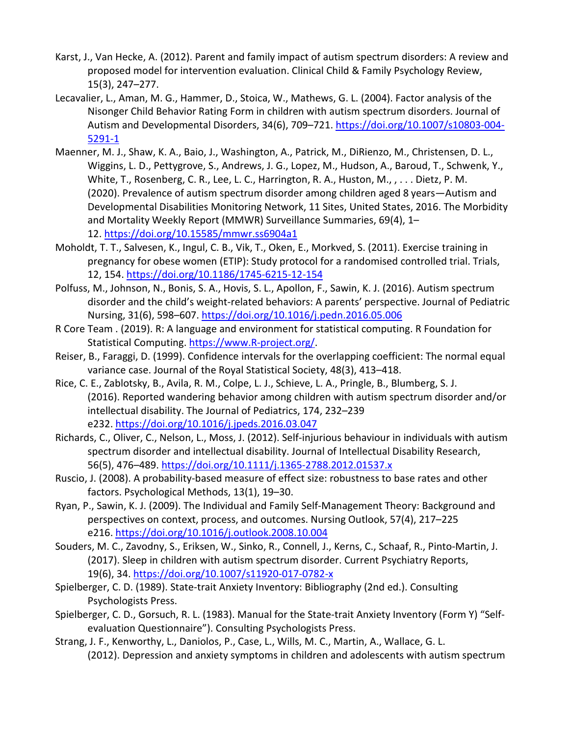- Karst, J., Van Hecke, A. (2012). Parent and family impact of autism spectrum disorders: A review and proposed model for intervention evaluation. Clinical Child & Family Psychology Review, 15(3), 247–277.
- Lecavalier, L., Aman, M. G., Hammer, D., Stoica, W., Mathews, G. L. (2004). Factor analysis of the Nisonger Child Behavior Rating Form in children with autism spectrum disorders. Journal of Autism and Developmental Disorders, 34(6), 709-721. [https://doi.org/10.1007/s10803](https://doi.org/10.1007/s10803-004-5291-1)-004-[5291-1](https://doi.org/10.1007/s10803-004-5291-1)
- Maenner, M. J., Shaw, K. A., Baio, J., Washington, A., Patrick, M., DiRienzo, M., Christensen, D. L., Wiggins, L. D., Pettygrove, S., Andrews, J. G., Lopez, M., Hudson, A., Baroud, T., Schwenk, Y., White, T., Rosenberg, C. R., Lee, L. C., Harrington, R. A., Huston, M., , . . . Dietz, P. M. (2020). Prevalence of autism spectrum disorder among children aged 8 years—Autism and Developmental Disabilities Monitoring Network, 11 Sites, United States, 2016. The Morbidity and Mortality Weekly Report (MMWR) Surveillance Summaries, 69(4), 1– 12. <https://doi.org/10.15585/mmwr.ss6904a1>
- Moholdt, T. T., Salvesen, K., Ingul, C. B., Vik, T., Oken, E., Morkved, S. (2011). Exercise training in pregnancy for obese women (ETIP): Study protocol for a randomised controlled trial. Trials, 12, 154. [https://doi.org/10.1186/1745](https://doi.org/10.1186/1745-6215-12-154)-6215-12-154
- Polfuss, M., Johnson, N., Bonis, S. A., Hovis, S. L., Apollon, F., Sawin, K. J. (2016). Autism spectrum disorder and the child's weight-related behaviors: A parents' perspective. Journal of Pediatric Nursing, 31(6), 598–607. <https://doi.org/10.1016/j.pedn.2016.05.006>
- R Core Team . (2019). R: A language and environment for statistical computing. R Foundation for Statistical Computing. [https://www.R-project.org/.](https://www.r-project.org/)
- Reiser, B., Faraggi, D. (1999). Confidence intervals for the overlapping coefficient: The normal equal variance case. Journal of the Royal Statistical Society, 48(3), 413–418.
- Rice, C. E., Zablotsky, B., Avila, R. M., Colpe, L. J., Schieve, L. A., Pringle, B., Blumberg, S. J. (2016). Reported wandering behavior among children with autism spectrum disorder and/or intellectual disability. The Journal of Pediatrics, 174, 232–239 e232. <https://doi.org/10.1016/j.jpeds.2016.03.047>
- Richards, C., Oliver, C., Nelson, L., Moss, J. (2012). Self-injurious behaviour in individuals with autism spectrum disorder and intellectual disability. Journal of Intellectual Disability Research, 56(5), 476–489. [https://doi.org/10.1111/j.1365-](https://doi.org/10.1111/j.1365-2788.2012.01537.x)2788.2012.01537.x
- Ruscio, J. (2008). A probability-based measure of effect size: robustness to base rates and other factors. Psychological Methods, 13(1), 19–30.
- Ryan, P., Sawin, K. J. (2009). The Individual and Family Self-Management Theory: Background and perspectives on context, process, and outcomes. Nursing Outlook, 57(4), 217–225 e216. <https://doi.org/10.1016/j.outlook.2008.10.004>
- Souders, M. C., Zavodny, S., Eriksen, W., Sinko, R., Connell, J., Kerns, C., Schaaf, R., Pinto-Martin, J. (2017). Sleep in children with autism spectrum disorder. Current Psychiatry Reports, 19(6), 34. [https://doi.org/10.1007/s11920](https://doi.org/10.1007/s11920-017-0782-x)-017-0782-x
- Spielberger, C. D. (1989). State-trait Anxiety Inventory: Bibliography (2nd ed.). Consulting Psychologists Press.
- Spielberger, C. D., Gorsuch, R. L. (1983). Manual for the State-trait Anxiety Inventory (Form Y) "Selfevaluation Questionnaire"). Consulting Psychologists Press.
- Strang, J. F., Kenworthy, L., Daniolos, P., Case, L., Wills, M. C., Martin, A., Wallace, G. L. (2012). Depression and anxiety symptoms in children and adolescents with autism spectrum